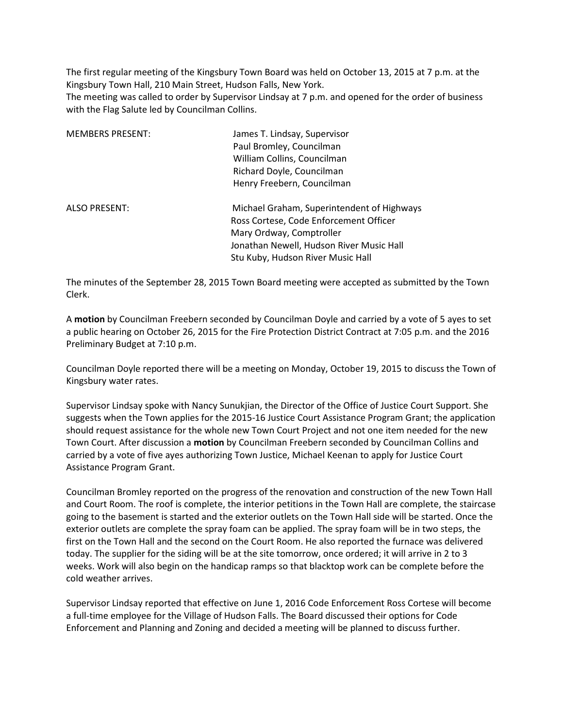The first regular meeting of the Kingsbury Town Board was held on October 13, 2015 at 7 p.m. at the Kingsbury Town Hall, 210 Main Street, Hudson Falls, New York.

The meeting was called to order by Supervisor Lindsay at 7 p.m. and opened for the order of business with the Flag Salute led by Councilman Collins.

| <b>MEMBERS PRESENT:</b> | James T. Lindsay, Supervisor               |
|-------------------------|--------------------------------------------|
|                         | Paul Bromley, Councilman                   |
|                         | William Collins, Councilman                |
|                         | Richard Doyle, Councilman                  |
|                         | Henry Freebern, Councilman                 |
| <b>ALSO PRESENT:</b>    | Michael Graham, Superintendent of Highways |
|                         | Ross Cortese, Code Enforcement Officer     |
|                         | Mary Ordway, Comptroller                   |
|                         | Jonathan Newell, Hudson River Music Hall   |
|                         | Stu Kuby, Hudson River Music Hall          |

The minutes of the September 28, 2015 Town Board meeting were accepted as submitted by the Town Clerk.

A **motion** by Councilman Freebern seconded by Councilman Doyle and carried by a vote of 5 ayes to set a public hearing on October 26, 2015 for the Fire Protection District Contract at 7:05 p.m. and the 2016 Preliminary Budget at 7:10 p.m.

Councilman Doyle reported there will be a meeting on Monday, October 19, 2015 to discuss the Town of Kingsbury water rates.

Supervisor Lindsay spoke with Nancy Sunukjian, the Director of the Office of Justice Court Support. She suggests when the Town applies for the 2015-16 Justice Court Assistance Program Grant; the application should request assistance for the whole new Town Court Project and not one item needed for the new Town Court. After discussion a **motion** by Councilman Freebern seconded by Councilman Collins and carried by a vote of five ayes authorizing Town Justice, Michael Keenan to apply for Justice Court Assistance Program Grant.

Councilman Bromley reported on the progress of the renovation and construction of the new Town Hall and Court Room. The roof is complete, the interior petitions in the Town Hall are complete, the staircase going to the basement is started and the exterior outlets on the Town Hall side will be started. Once the exterior outlets are complete the spray foam can be applied. The spray foam will be in two steps, the first on the Town Hall and the second on the Court Room. He also reported the furnace was delivered today. The supplier for the siding will be at the site tomorrow, once ordered; it will arrive in 2 to 3 weeks. Work will also begin on the handicap ramps so that blacktop work can be complete before the cold weather arrives.

Supervisor Lindsay reported that effective on June 1, 2016 Code Enforcement Ross Cortese will become a full-time employee for the Village of Hudson Falls. The Board discussed their options for Code Enforcement and Planning and Zoning and decided a meeting will be planned to discuss further.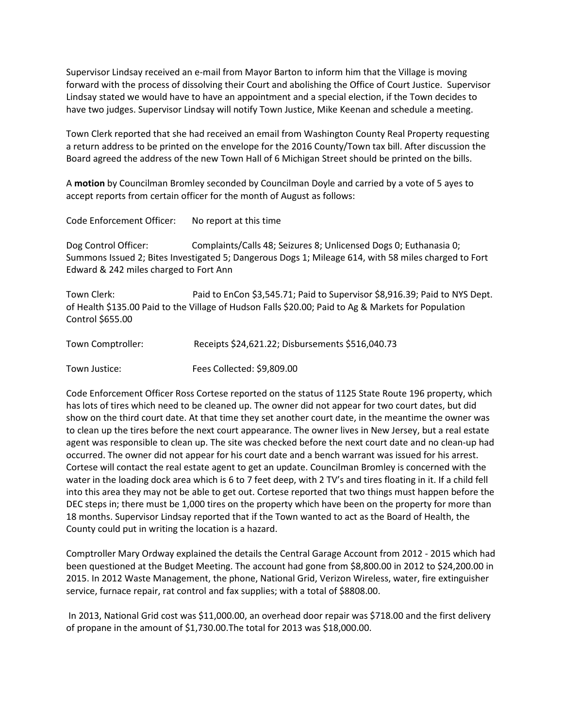Supervisor Lindsay received an e-mail from Mayor Barton to inform him that the Village is moving forward with the process of dissolving their Court and abolishing the Office of Court Justice. Supervisor Lindsay stated we would have to have an appointment and a special election, if the Town decides to have two judges. Supervisor Lindsay will notify Town Justice, Mike Keenan and schedule a meeting.

Town Clerk reported that she had received an email from Washington County Real Property requesting a return address to be printed on the envelope for the 2016 County/Town tax bill. After discussion the Board agreed the address of the new Town Hall of 6 Michigan Street should be printed on the bills.

A **motion** by Councilman Bromley seconded by Councilman Doyle and carried by a vote of 5 ayes to accept reports from certain officer for the month of August as follows:

Code Enforcement Officer: No report at this time

Dog Control Officer: Complaints/Calls 48; Seizures 8; Unlicensed Dogs 0; Euthanasia 0; Summons Issued 2; Bites Investigated 5; Dangerous Dogs 1; Mileage 614, with 58 miles charged to Fort Edward & 242 miles charged to Fort Ann

Town Clerk: Paid to EnCon \$3,545.71; Paid to Supervisor \$8,916.39; Paid to NYS Dept. of Health \$135.00 Paid to the Village of Hudson Falls \$20.00; Paid to Ag & Markets for Population Control \$655.00

| Town Comptroller: | Receipts \$24,621.22; Disbursements \$516,040.73 |
|-------------------|--------------------------------------------------|
| Town Justice:     | Fees Collected: \$9,809.00                       |

Code Enforcement Officer Ross Cortese reported on the status of 1125 State Route 196 property, which has lots of tires which need to be cleaned up. The owner did not appear for two court dates, but did show on the third court date. At that time they set another court date, in the meantime the owner was to clean up the tires before the next court appearance. The owner lives in New Jersey, but a real estate agent was responsible to clean up. The site was checked before the next court date and no clean-up had occurred. The owner did not appear for his court date and a bench warrant was issued for his arrest. Cortese will contact the real estate agent to get an update. Councilman Bromley is concerned with the water in the loading dock area which is 6 to 7 feet deep, with 2 TV's and tires floating in it. If a child fell into this area they may not be able to get out. Cortese reported that two things must happen before the DEC steps in; there must be 1,000 tires on the property which have been on the property for more than 18 months. Supervisor Lindsay reported that if the Town wanted to act as the Board of Health, the County could put in writing the location is a hazard.

Comptroller Mary Ordway explained the details the Central Garage Account from 2012 - 2015 which had been questioned at the Budget Meeting. The account had gone from \$8,800.00 in 2012 to \$24,200.00 in 2015. In 2012 Waste Management, the phone, National Grid, Verizon Wireless, water, fire extinguisher service, furnace repair, rat control and fax supplies; with a total of \$8808.00.

 In 2013, National Grid cost was \$11,000.00, an overhead door repair was \$718.00 and the first delivery of propane in the amount of \$1,730.00.The total for 2013 was \$18,000.00.